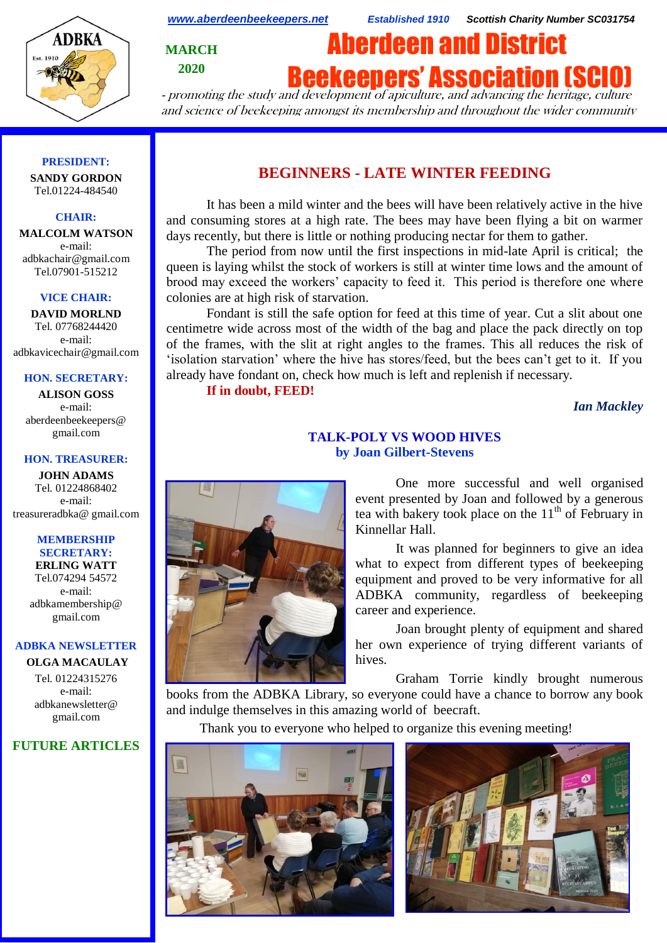

*[www.aberdeenbeekeepers.net](http://www.aberdeenbeekeepers.net/) Established 1910 Scottish Charity Number SC031754*

**MARCH 2020**

# Aberdeen and District

**Beekeepers' Association (SCI** 

- promoting the study and development of apiculture, and advancing the heritage, culture and science of beekeeping amongst its membership and throughout the wider community

#### **PRESIDENT:**

**SANDY GORDON** Tel.01224-484540

#### **CHAIR:**

**MALCOLM WATSON** e-mail: adbkachair@gmail.com Tel.07901-515212

#### **VICE CHAIR:**

**DAVID MORLND** Tel. 07768244420 e-mail: adbkavicechair@gmail.com

#### **HON. SECRETARY:**

**ALISON GOSS**  e-mail: aberdeenbeekeepers@ gmail.com

#### **HON. TREASURER:**

**JOHN ADAMS** Tel. 01224868402 e-mail: [treasureradbka@ gmail.com](https://e.mail.ru/compose/?mailto=mailto%3atreasureradbka@gmail.com)

#### **MEMBERSHIP SECRETARY:**

**ERLING WATT** Tel.074294 54572 e-mail: [adbkamembership@](mailto:watterlingg@aol.com) [gmail.com](mailto:watterlingg@aol.com)

#### **ADBKA NEWSLETTER**

**OLGA MACAULAY** Tel. 01224315276 e-mail: adbkanewsletter@ gmail.com

### **FUTURE ARTICLES**

## **BEGINNERS - LATE WINTER FEEDING**

It has been a mild winter and the bees will have been relatively active in the hive and consuming stores at a high rate. The bees may have been flying a bit on warmer days recently, but there is little or nothing producing nectar for them to gather.

The period from now until the first inspections in mid-late April is critical; the queen is laying whilst the stock of workers is still at winter time lows and the amount of brood may exceed the workers' capacity to feed it. This period is therefore one where colonies are at high risk of starvation.

Fondant is still the safe option for feed at this time of year. Cut a slit about one centimetre wide across most of the width of the bag and place the pack directly on top of the frames, with the slit at right angles to the frames. This all reduces the risk of 'isolation starvation' where the hive has stores/feed, but the bees can't get to it. If you already have fondant on, check how much is left and replenish if necessary.

**If in doubt, FEED!**

*Ian Mackley*



## **TALK-POLY VS WOOD HIVES by Joan Gilbert-Stevens**

One more successful and well organised event presented by Joan and followed by a generous tea with bakery took place on the  $11<sup>th</sup>$  of February in Kinnellar Hall.

It was planned for beginners to give an idea what to expect from different types of beekeeping equipment and proved to be very informative for all ADBKA community, regardless of beekeeping career and experience.

Joan brought plenty of equipment and shared her own experience of trying different variants of hives.

Graham Torrie kindly brought numerous books from the ADBKA Library, so everyone could have a chance to borrow any book and indulge themselves in this amazing world of beecraft.

Thank you to everyone who helped to organize this evening meeting!



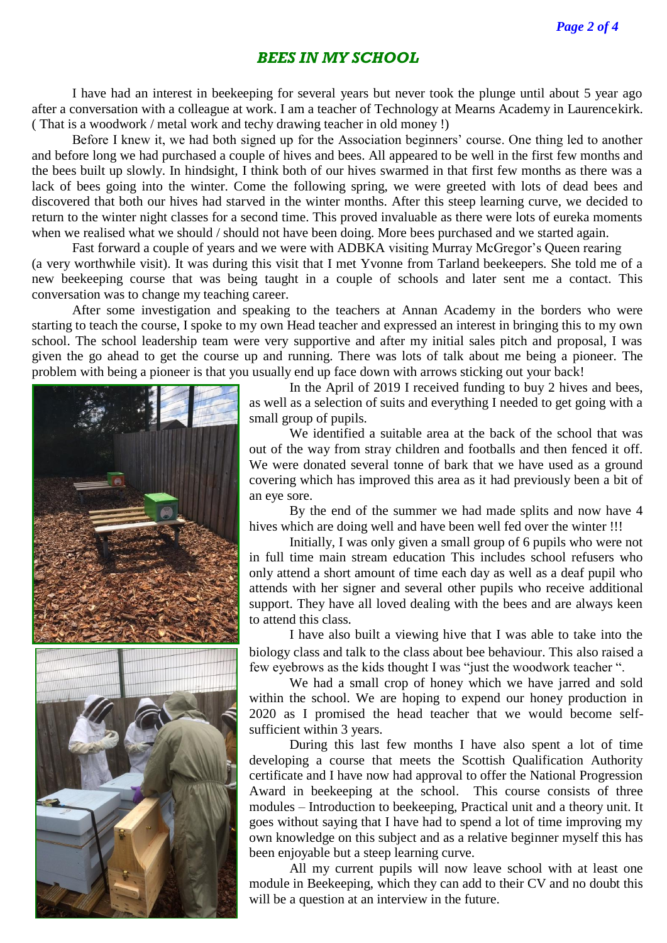## *BEES IN MY SCHOOL*

I have had an interest in beekeeping for several years but never took the plunge until about 5 year ago after a conversation with a colleague at work. I am a teacher of Technology at Mearns Academy in Laurencekirk. ( That is a woodwork / metal work and techy drawing teacher in old money !)

Before I knew it, we had both signed up for the Association beginners' course. One thing led to another and before long we had purchased a couple of hives and bees. All appeared to be well in the first few months and the bees built up slowly. In hindsight, I think both of our hives swarmed in that first few months as there was a lack of bees going into the winter. Come the following spring, we were greeted with lots of dead bees and discovered that both our hives had starved in the winter months. After this steep learning curve, we decided to return to the winter night classes for a second time. This proved invaluable as there were lots of eureka moments when we realised what we should / should not have been doing. More bees purchased and we started again.

Fast forward a couple of years and we were with ADBKA visiting Murray McGregor's Queen rearing (a very worthwhile visit). It was during this visit that I met Yvonne from Tarland beekeepers. She told me of a new beekeeping course that was being taught in a couple of schools and later sent me a contact. This conversation was to change my teaching career.

After some investigation and speaking to the teachers at Annan Academy in the borders who were starting to teach the course, I spoke to my own Head teacher and expressed an interest in bringing this to my own school. The school leadership team were very supportive and after my initial sales pitch and proposal, I was given the go ahead to get the course up and running. There was lots of talk about me being a pioneer. The problem with being a pioneer is that you usually end up face down with arrows sticking out your back!



In the April of 2019 I received funding to buy 2 hives and bees, as well as a selection of suits and everything I needed to get going with a small group of pupils.

We identified a suitable area at the back of the school that was out of the way from stray children and footballs and then fenced it off. We were donated several tonne of bark that we have used as a ground covering which has improved this area as it had previously been a bit of an eye sore.

By the end of the summer we had made splits and now have 4 hives which are doing well and have been well fed over the winter !!!

Initially, I was only given a small group of 6 pupils who were not in full time main stream education This includes school refusers who only attend a short amount of time each day as well as a deaf pupil who attends with her signer and several other pupils who receive additional support. They have all loved dealing with the bees and are always keen to attend this class.

I have also built a viewing hive that I was able to take into the biology class and talk to the class about bee behaviour. This also raised a few eyebrows as the kids thought I was "just the woodwork teacher ".

We had a small crop of honey which we have jarred and sold within the school. We are hoping to expend our honey production in 2020 as I promised the head teacher that we would become selfsufficient within 3 years.

During this last few months I have also spent a lot of time developing a course that meets the Scottish Qualification Authority certificate and I have now had approval to offer the National Progression Award in beekeeping at the school. This course consists of three modules – Introduction to beekeeping, Practical unit and a theory unit. It goes without saying that I have had to spend a lot of time improving my own knowledge on this subject and as a relative beginner myself this has been enjoyable but a steep learning curve.

All my current pupils will now leave school with at least one module in Beekeeping, which they can add to their CV and no doubt this will be a question at an interview in the future.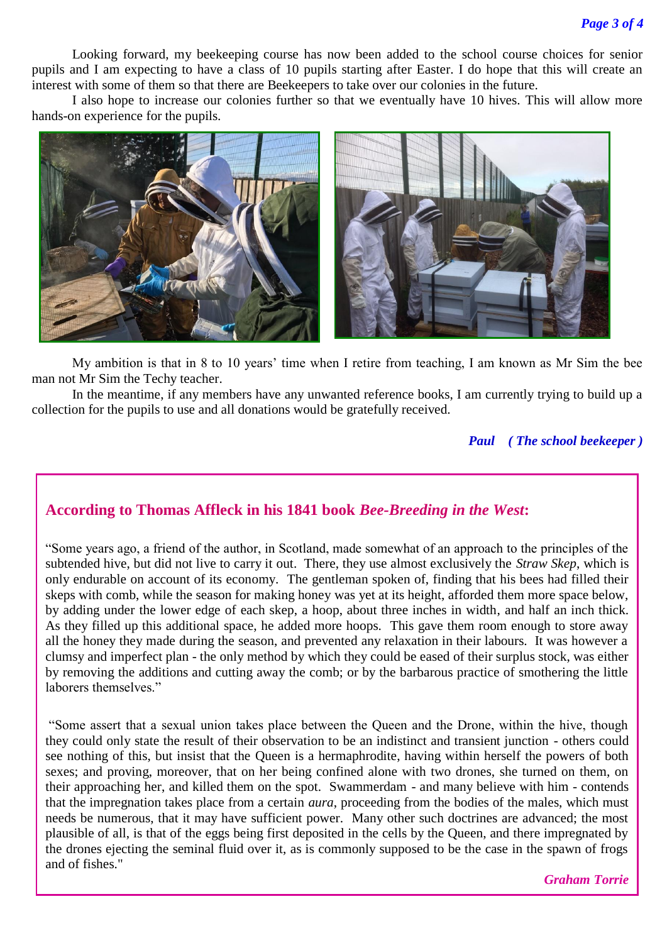Looking forward, my beekeeping course has now been added to the school course choices for senior pupils and I am expecting to have a class of 10 pupils starting after Easter. I do hope that this will create an interest with some of them so that there are Beekeepers to take over our colonies in the future.

I also hope to increase our colonies further so that we eventually have 10 hives. This will allow more hands-on experience for the pupils.



My ambition is that in 8 to 10 years' time when I retire from teaching, I am known as Mr Sim the bee man not Mr Sim the Techy teacher.

In the meantime, if any members have any unwanted reference books, I am currently trying to build up a collection for the pupils to use and all donations would be gratefully received.

### *Paul ( The school beekeeper )*

## **According to Thomas Affleck in his 1841 book** *Bee-Breeding in the West***:**

"Some years ago, a friend of the author, in Scotland, made somewhat of an approach to the principles of the subtended hive, but did not live to carry it out. There, they use almost exclusively the *Straw Skep*, which is only endurable on account of its economy. The gentleman spoken of, finding that his bees had filled their skeps with comb, while the season for making honey was yet at its height, afforded them more space below, by adding under the lower edge of each skep, a hoop, about three inches in width, and half an inch thick. As they filled up this additional space, he added more hoops. This gave them room enough to store away all the honey they made during the season, and prevented any relaxation in their labours. It was however a clumsy and imperfect plan - the only method by which they could be eased of their surplus stock, was either by removing the additions and cutting away the comb; or by the barbarous practice of smothering the little laborers themselves."

"Some assert that a sexual union takes place between the Queen and the Drone, within the hive, though they could only state the result of their observation to be an indistinct and transient junction - others could see nothing of this, but insist that the Queen is a hermaphrodite, having within herself the powers of both sexes; and proving, moreover, that on her being confined alone with two drones, she turned on them, on their approaching her, and killed them on the spot. Swammerdam - and many believe with him - contends that the impregnation takes place from a certain *aura*, proceeding from the bodies of the males, which must needs be numerous, that it may have sufficient power. Many other such doctrines are advanced; the most plausible of all, is that of the eggs being first deposited in the cells by the Queen, and there impregnated by the drones ejecting the seminal fluid over it, as is commonly supposed to be the case in the spawn of frogs and of fishes."